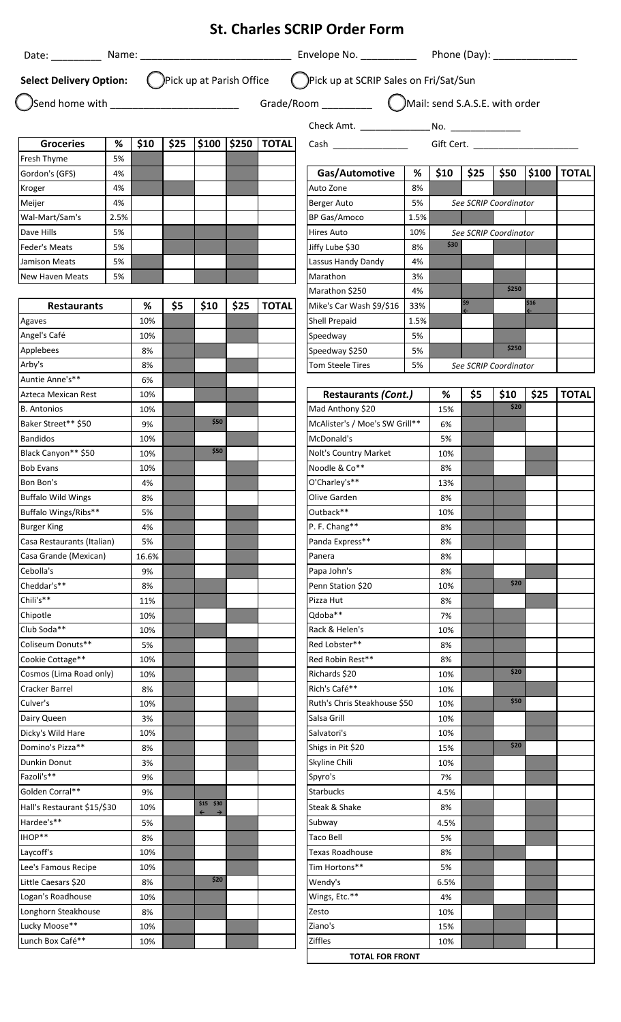|                                                     |      |             |      |                               |      |                   | <b>St. Charles SCRIP Order Form</b>                                                        |             |           |      |                       |      |                    |
|-----------------------------------------------------|------|-------------|------|-------------------------------|------|-------------------|--------------------------------------------------------------------------------------------|-------------|-----------|------|-----------------------|------|--------------------|
|                                                     |      |             |      |                               |      |                   |                                                                                            |             |           |      |                       |      |                    |
|                                                     |      |             |      |                               |      |                   | Select Delivery Option: (DPick up at Parish Office (DPick up at SCRIP Sales on Fri/Sat/Sun |             |           |      |                       |      |                    |
|                                                     |      |             |      |                               |      |                   |                                                                                            |             |           |      |                       |      |                    |
|                                                     |      |             |      |                               |      |                   |                                                                                            |             |           |      |                       |      |                    |
| <b>Groceries</b>                                    | $\%$ | \$10        | \$25 |                               |      | \$100 \$250 TOTAL |                                                                                            |             |           |      |                       |      |                    |
| Fresh Thyme                                         | 5%   |             |      |                               |      |                   |                                                                                            |             |           |      |                       |      |                    |
| Gordon's (GFS)                                      | 4%   |             |      |                               |      |                   | Gas/Automotive                                                                             | %           | \$10      | \$25 | \$50                  |      | <b>\$100 TOTAL</b> |
| Kroger                                              | 4%   |             |      |                               |      |                   | Auto Zone                                                                                  | 8%          |           |      |                       |      |                    |
| Meijer                                              | 4%   |             |      |                               |      |                   | Berger Auto                                                                                | 5%          |           |      | See SCRIP Coordinator |      |                    |
| Wal-Mart/Sam's                                      | 2.5% |             |      |                               |      |                   | <b>BP Gas/Amoco</b>                                                                        | 1.5%        |           |      |                       |      |                    |
| Dave Hills                                          | 5%   |             |      |                               |      |                   | Hires Auto                                                                                 | 10%         |           |      | See SCRIP Coordinator |      |                    |
| Feder's Meats                                       | 5%   |             |      |                               |      |                   | Jiffy Lube \$30                                                                            | 8%          | \$30      |      |                       |      |                    |
| Jamison Meats                                       | 5%   |             |      |                               |      |                   | Lassus Handy Dandy                                                                         | 4%          |           |      |                       |      |                    |
| New Haven Meats                                     | 5%   |             |      |                               |      |                   | Marathon                                                                                   | 3%          |           |      | \$250                 |      |                    |
|                                                     |      | %           | \$5  |                               | \$25 |                   | Marathon \$250                                                                             | 4%          |           | \$9  |                       | \$16 |                    |
| <b>Restaurants</b><br>Agaves                        |      | 10%         |      | \$10                          |      | <b>TOTAL</b>      | Mike's Car Wash \$9/\$16<br>Shell Prepaid                                                  | 33%<br>1.5% |           |      |                       |      |                    |
| Angel's Café                                        |      | 10%         |      |                               |      |                   | Speedway                                                                                   | 5%          |           |      |                       |      |                    |
| Applebees                                           |      | 8%          |      |                               |      |                   | Speedway \$250                                                                             | 5%          |           |      | \$250                 |      |                    |
| Arby's                                              |      | 8%          |      |                               |      |                   | <b>Tom Steele Tires</b>                                                                    | 5%          |           |      | See SCRIP Coordinator |      |                    |
| Auntie Anne's**                                     |      | 6%          |      |                               |      |                   |                                                                                            |             |           |      |                       |      |                    |
| Azteca Mexican Rest                                 |      | 10%         |      |                               |      |                   | <b>Restaurants (Cont.)</b>                                                                 |             | %         | \$5  | \$10                  | \$25 | <b>TOTAL</b>       |
| <b>B.</b> Antonios                                  |      | 10%         |      |                               |      |                   | Mad Anthony \$20                                                                           |             | 15%       |      | \$20                  |      |                    |
| Baker Street** \$50                                 |      | 9%          |      | \$50                          |      |                   | McAlister's / Moe's SW Grill**                                                             |             | 6%        |      |                       |      |                    |
| <b>Bandidos</b>                                     |      | 10%         |      |                               |      |                   | McDonald's                                                                                 |             | 5%        |      |                       |      |                    |
| Black Canyon** \$50                                 |      | 10%         |      | \$50                          |      |                   | Nolt's Country Market                                                                      | 10%         |           |      |                       |      |                    |
| <b>Bob Evans</b>                                    |      | 10%         |      |                               |      |                   | Noodle & Co**                                                                              | 8%          |           |      |                       |      |                    |
| Bon Bon's                                           |      | 4%          |      |                               |      |                   | O'Charley's**                                                                              |             | 13%       |      |                       |      |                    |
| <b>Buffalo Wild Wings</b>                           |      | 8%          |      |                               |      |                   | Olive Garden                                                                               |             | 8%        |      |                       |      |                    |
| Buffalo Wings/Ribs**                                |      | 5%          |      |                               |      |                   | Outback**                                                                                  |             | 10%       |      |                       |      |                    |
| <b>Burger King</b>                                  |      | 4%          |      |                               |      |                   | P. F. Chang**                                                                              |             | 8%        |      |                       |      |                    |
| Casa Restaurants (Italian)<br>Casa Grande (Mexican) |      | 5%<br>16.6% |      |                               |      |                   | Panda Express**<br>Panera                                                                  |             | 8%<br>8%  |      |                       |      |                    |
| Cebolla's                                           |      | 9%          |      |                               |      |                   | Papa John's                                                                                |             | 8%        |      |                       |      |                    |
| Cheddar's**                                         |      | 8%          |      |                               |      |                   | Penn Station \$20                                                                          |             | 10%       |      | \$20                  |      |                    |
| Chili's**                                           |      | 11%         |      |                               |      |                   | Pizza Hut                                                                                  |             | 8%        |      |                       |      |                    |
| Chipotle                                            |      | 10%         |      |                               |      |                   | Odoba**                                                                                    |             | 7%        |      |                       |      |                    |
| Club Soda**                                         |      | 10%         |      |                               |      |                   | Rack & Helen's                                                                             |             | 10%       |      |                       |      |                    |
| Coliseum Donuts**                                   |      | 5%          |      |                               |      |                   | Red Lobster**                                                                              |             | 8%        |      |                       |      |                    |
| Cookie Cottage**                                    |      | 10%         |      |                               |      |                   | Red Robin Rest**                                                                           |             | 8%        |      |                       |      |                    |
| Cosmos (Lima Road only)                             |      | 10%         |      |                               |      |                   | Richards \$20                                                                              |             | 10%       |      | \$20                  |      |                    |
| Cracker Barrel                                      |      | 8%          |      |                               |      |                   | Rich's Café**                                                                              |             | 10%       |      |                       |      |                    |
| Culver's                                            |      | 10%         |      |                               |      |                   | Ruth's Chris Steakhouse \$50                                                               |             | 10%       |      | \$50                  |      |                    |
| Dairy Queen                                         |      | 3%          |      |                               |      |                   | Salsa Grill                                                                                |             | 10%       |      |                       |      |                    |
| Dicky's Wild Hare                                   |      | 10%         |      |                               |      |                   | Salvatori's                                                                                |             | 10%       |      | \$20                  |      |                    |
| Domino's Pizza**                                    |      | 8%          |      |                               |      |                   | Shigs in Pit \$20                                                                          |             | 15%       |      |                       |      |                    |
| Dunkin Donut<br>Fazoli's**                          |      | 3%<br>9%    |      |                               |      |                   | Skyline Chili                                                                              |             | 10%<br>7% |      |                       |      |                    |
| Golden Corral**                                     |      | 9%          |      |                               |      |                   | Spyro's<br><b>Starbucks</b>                                                                |             | 4.5%      |      |                       |      |                    |
| Hall's Restaurant \$15/\$30                         |      | 10%         |      | $$15$ $$30$                   |      |                   | Steak & Shake                                                                              |             | 8%        |      |                       |      |                    |
| Hardee's**                                          |      | 5%          |      | $\leftarrow$<br>$\rightarrow$ |      |                   | Subway                                                                                     |             | 4.5%      |      |                       |      |                    |
| IHOP**                                              |      | 8%          |      |                               |      |                   | <b>Taco Bell</b>                                                                           |             | 5%        |      |                       |      |                    |
| Laycoff's                                           |      | 10%         |      |                               |      |                   | <b>Texas Roadhouse</b>                                                                     |             | 8%        |      |                       |      |                    |
| Lee's Famous Recipe                                 |      | 10%         |      |                               |      |                   | Tim Hortons**                                                                              |             | 5%        |      |                       |      |                    |
| Little Caesars \$20                                 |      | 8%          |      | \$20                          |      |                   | Wendy's                                                                                    |             | 6.5%      |      |                       |      |                    |
| Logan's Roadhouse                                   |      | 10%         |      |                               |      |                   | Wings, Etc.**                                                                              |             | 4%        |      |                       |      |                    |
| Longhorn Steakhouse                                 |      | 8%          |      |                               |      |                   | Zesto                                                                                      |             | 10%       |      |                       |      |                    |
| Lucky Moose**                                       |      | 10%         |      |                               |      |                   | Ziano's                                                                                    |             | 15%       |      |                       |      |                    |
| Lunch Box Café**                                    |      | 10%         |      |                               |      |                   | Ziffles                                                                                    |             | 10%       |      |                       |      |                    |
|                                                     |      |             |      |                               |      |                   | <b>TOTAL FOR FRONT</b>                                                                     |             |           |      |                       |      |                    |